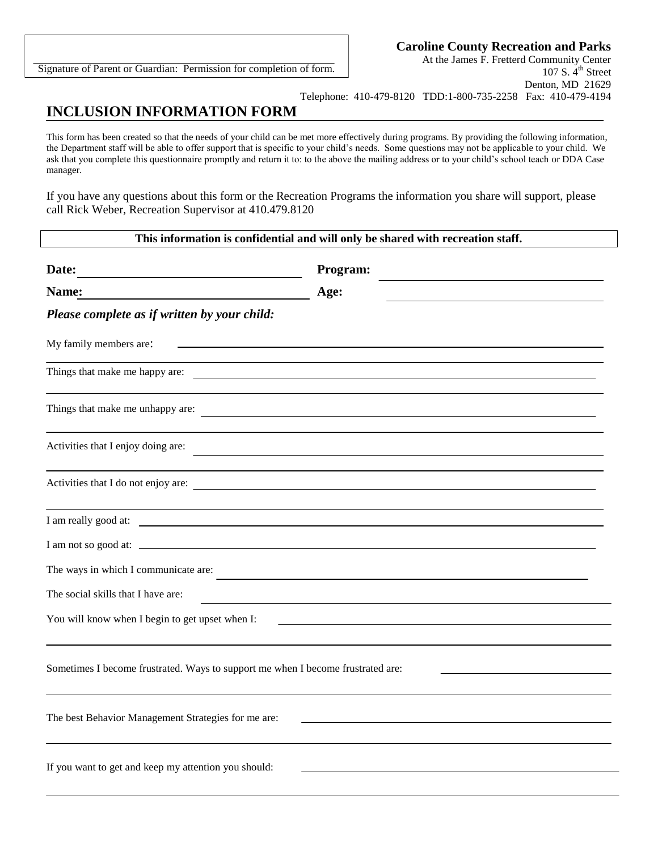Signature of Parent or Guardian: Permission for completion of form.

At the James F. Fretterd Community Center 107 S.  $4^{\text{th}}$  Street Denton, MD 21629 Telephone: 410-479-8120 TDD:1-800-735-2258 Fax: 410-479-4194

## **INCLUSION INFORMATION FORM**

This form has been created so that the needs of your child can be met more effectively during programs. By providing the following information, the Department staff will be able to offer support that is specific to your child's needs. Some questions may not be applicable to your child. We ask that you complete this questionnaire promptly and return it to: to the above the mailing address or to your child's school teach or DDA Case manager.

If you have any questions about this form or the Recreation Programs the information you share will support, please call Rick Weber, Recreation Supervisor at 410.479.8120

## **This information is confidential and will only be shared with recreation staff.**

| Date:<br><u> 1989 - Johann John Stone, markin f</u>                                                                 | Program:                                                                                                              |
|---------------------------------------------------------------------------------------------------------------------|-----------------------------------------------------------------------------------------------------------------------|
| Name:                                                                                                               | Age:                                                                                                                  |
| Please complete as if written by your child:                                                                        |                                                                                                                       |
| My family members are:<br>the control of the control of the control of the control of the control of the control of |                                                                                                                       |
|                                                                                                                     |                                                                                                                       |
| Things that make me unhappy are:                                                                                    |                                                                                                                       |
| Activities that I enjoy doing are:                                                                                  | <u> 1989 - Johann Barn, mars ann an t-Amhain an t-Amhain ann an t-Amhain an t-Amhain an t-Amhain an t-Amhain ann </u> |
| Activities that I do not enjoy are:                                                                                 |                                                                                                                       |
| I am really good at:                                                                                                |                                                                                                                       |
| I am not so good at:                                                                                                |                                                                                                                       |
| The ways in which I communicate are:                                                                                |                                                                                                                       |
| The social skills that I have are:                                                                                  |                                                                                                                       |
| You will know when I begin to get upset when I:                                                                     |                                                                                                                       |
|                                                                                                                     |                                                                                                                       |
| Sometimes I become frustrated. Ways to support me when I become frustrated are:                                     |                                                                                                                       |
| The best Behavior Management Strategies for me are:                                                                 |                                                                                                                       |
|                                                                                                                     |                                                                                                                       |
| If you want to get and keep my attention you should:                                                                |                                                                                                                       |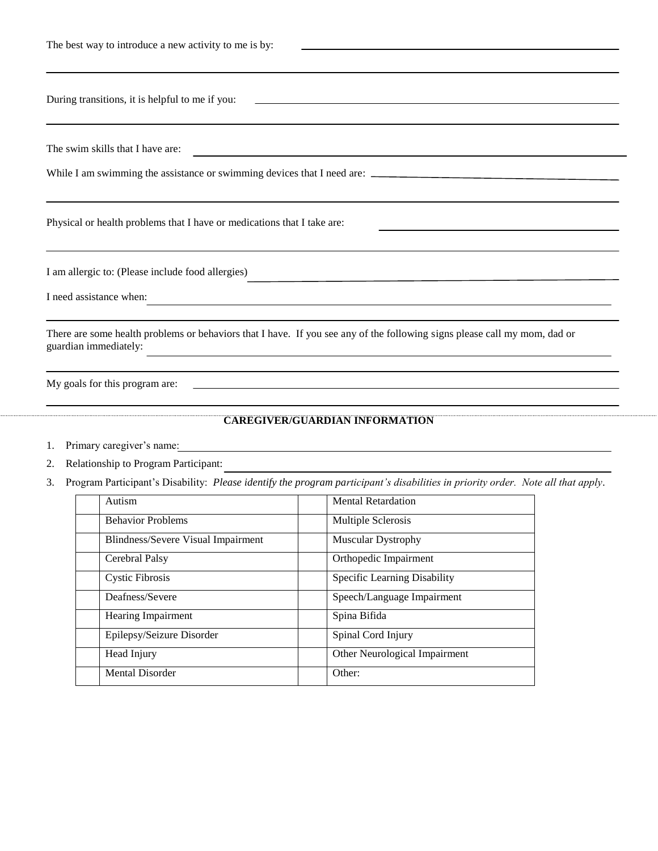| The best way to introduce a new activity to me is by: |  |
|-------------------------------------------------------|--|
|                                                       |  |

|    | During transitions, it is helpful to me if you:                              | and the control of the control of the control of the control of the control of the control of the control of the                 |
|----|------------------------------------------------------------------------------|----------------------------------------------------------------------------------------------------------------------------------|
|    | The swim skills that I have are:                                             | <u> 1989 - Johann Barbara, martin amerikan basar dan basa dan basar dan basar dalam basa dan basar dan basar dan</u>             |
|    |                                                                              | While I am swimming the assistance or swimming devices that I need are:                                                          |
|    | Physical or health problems that I have or medications that I take are:      |                                                                                                                                  |
|    | I am allergic to: (Please include food allergies)<br>I need assistance when: | and the control of the control of the control of the control of the control of the control of the control of the                 |
|    | guardian immediately:                                                        | There are some health problems or behaviors that I have. If you see any of the following signs please call my mom, dad or        |
|    |                                                                              | ,我们也不会有什么。""我们的人,我们也不会有什么?""我们的人,我们也不会有什么?""我们的人,我们也不会有什么?""我们的人,我们也不会有什么?""我们的人                                                 |
| 1. | Primary caregiver's name:                                                    | <b>CAREGIVER/GUARDIAN INFORMATION</b>                                                                                            |
| 2. | Relationship to Program Participant:                                         |                                                                                                                                  |
| 3. |                                                                              | Program Participant's Disability: Please identify the program participant's disabilities in priority order. Note all that apply. |
|    | Autism                                                                       | <b>Mental Retardation</b>                                                                                                        |
|    | <b>Behavior Problems</b>                                                     | Multiple Sclerosis                                                                                                               |
|    | <b>Blindness/Severe Visual Impairment</b>                                    | Muscular Dystrophy                                                                                                               |
|    | Cerebral Palsy                                                               | Orthopedic Impairment                                                                                                            |

Cystic Fibrosis Specific Learning Disability Deafness/Severe Speech/Language Impairment

Head Injury **Calculation Controllering Controllering Controllering Controllering Controllering Controllering Controllering Controllering Controllering Controllering Controllering Controllering Controllering Controllering C** 

Hearing Impairment Spina Bifida

Mental Disorder Other:

Epilepsy/Seizure Disorder Spinal Cord Injury